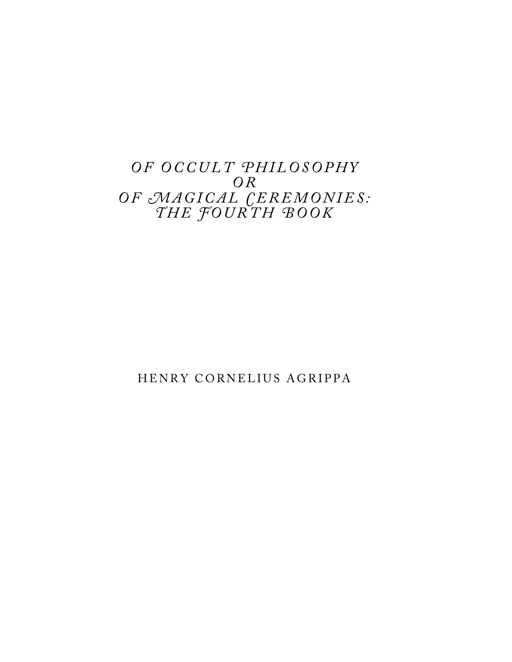*OF OCCULT PHILOSOPHY O R OF MAGICAL CEREMONIES: THE FOURTH B OOK*

HENRY CORNELIUS AGRIPPA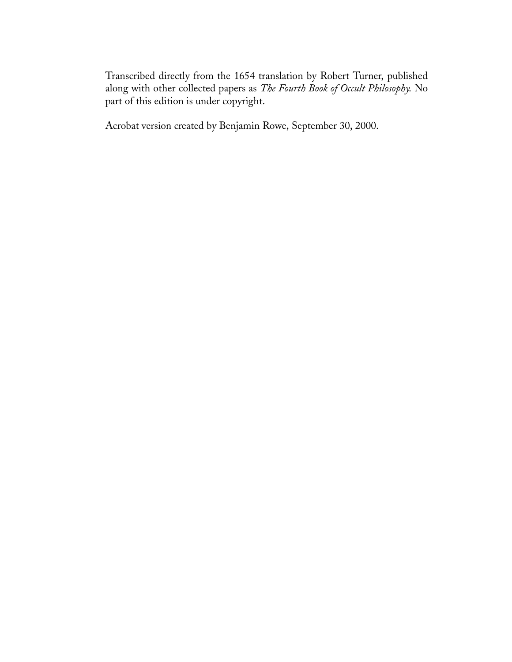Transcribed directly from the 1654 translation by Robert Turner, published along with other collected papers as *The Fourth Book of Occult Philosophy*. No part of this edition is under copyright.

Acrobat version created by Benjamin Rowe, September 30, 2000.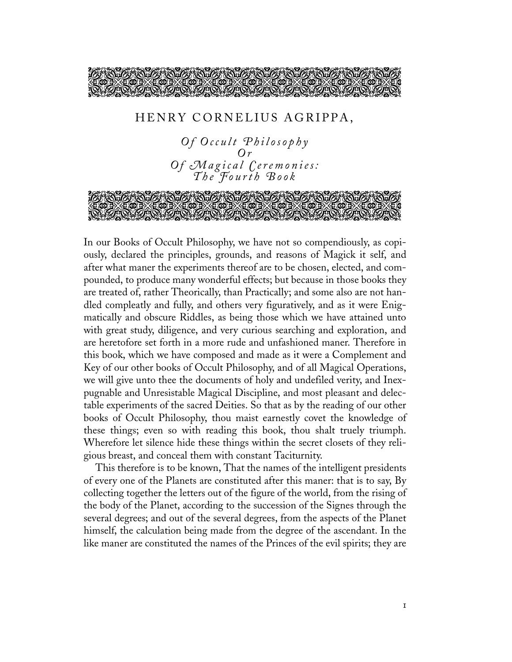

### HENRY CORNELIUS AGRIPPA,

*Of Occult Philosophy O r Of Magical C eremonies: T he Fourth B ook*



In our Books of Occult Philosophy, we have not so compendiously, as copiously, declared the principles, grounds, and reasons of Magick it self, and after what maner the experiments thereof are to be chosen, elected, and compounded, to produce many wonderful effects; but because in those books they are treated of, rather Theorically, than Practically; and some also are not handled compleatly and fully, and others very figuratively, and as it were Enigmatically and obscure Riddles, as being those which we have attained unto with great study, diligence, and very curious searching and exploration, and are heretofore set forth in a more rude and unfashioned maner. Therefore in this book, which we have composed and made as it were a Complement and Key of our other books of Occult Philosophy, and of all Magical Operations, we will give unto thee the documents of holy and undefiled verity, and Inexpugnable and Unresistable Magical Discipline, and most pleasant and delectable experiments of the sacred Deities. So that as by the reading of our other books of Occult Philosophy, thou maist earnestly covet the knowledge of these things; even so with reading this book, thou shalt truely triumph. Wherefore let silence hide these things within the secret closets of they religious breast, and conceal them with constant Taciturnity.

This therefore is to be known, That the names of the intelligent presidents of every one of the Planets are constituted after this maner: that is to say, By collecting together the letters out of the figure of the world, from the rising of the body of the Planet, according to the succession of the Signes through the several degrees; and out of the several degrees, from the aspects of the Planet himself, the calculation being made from the degree of the ascendant. In the like maner are constituted the names of the Princes of the evil spirits; they are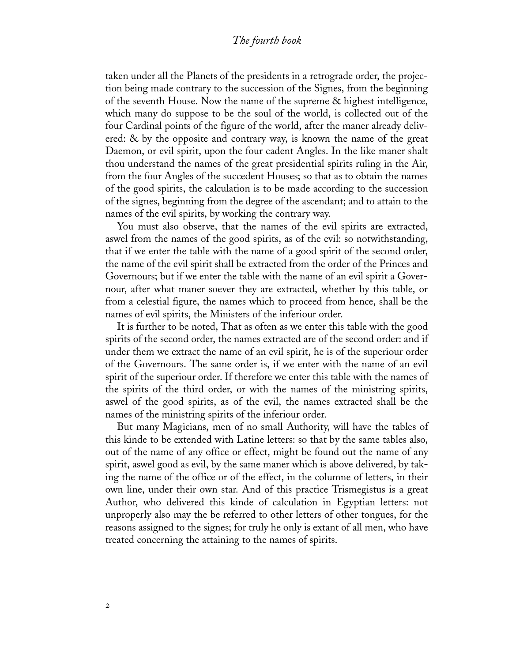taken under all the Planets of the presidents in a retrograde order, the projection being made contrary to the succession of the Signes, from the beginning of the seventh House. Now the name of the supreme & highest intelligence, which many do suppose to be the soul of the world, is collected out of the four Cardinal points of the figure of the world, after the maner already delivered: & by the opposite and contrary way, is known the name of the great Daemon, or evil spirit, upon the four cadent Angles. In the like maner shalt thou understand the names of the great presidential spirits ruling in the Air, from the four Angles of the succedent Houses; so that as to obtain the names of the good spirits, the calculation is to be made according to the succession of the signes, beginning from the degree of the ascendant; and to attain to the names of the evil spirits, by working the contrary way.

You must also observe, that the names of the evil spirits are extracted, aswel from the names of the good spirits, as of the evil: so notwithstanding, that if we enter the table with the name of a good spirit of the second order, the name of the evil spirit shall be extracted from the order of the Princes and Governours; but if we enter the table with the name of an evil spirit a Governour, after what maner soever they are extracted, whether by this table, or from a celestial figure, the names which to proceed from hence, shall be the names of evil spirits, the Ministers of the inferiour order.

It is further to be noted, That as often as we enter this table with the good spirits of the second order, the names extracted are of the second order: and if under them we extract the name of an evil spirit, he is of the superiour order of the Governours. The same order is, if we enter with the name of an evil spirit of the superiour order. If therefore we enter this table with the names of the spirits of the third order, or with the names of the ministring spirits, aswel of the good spirits, as of the evil, the names extracted shall be the names of the ministring spirits of the inferiour order.

But many Magicians, men of no small Authority, will have the tables of this kinde to be extended with Latine letters: so that by the same tables also, out of the name of any office or effect, might be found out the name of any spirit, aswel good as evil, by the same maner which is above delivered, by taking the name of the office or of the effect, in the columne of letters, in their own line, under their own star. And of this practice Trismegistus is a great Author, who delivered this kinde of calculation in Egyptian letters: not unproperly also may the be referred to other letters of other tongues, for the reasons assigned to the signes; for truly he only is extant of all men, who have treated concerning the attaining to the names of spirits.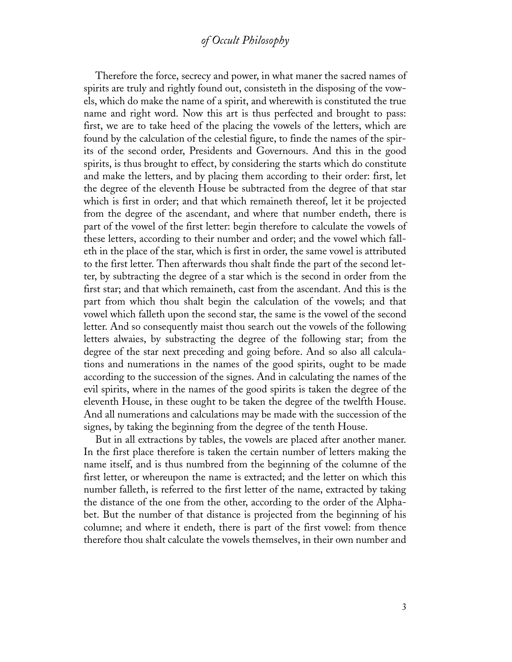Therefore the force, secrecy and power, in what maner the sacred names of spirits are truly and rightly found out, consisteth in the disposing of the vowels, which do make the name of a spirit, and wherewith is constituted the true name and right word. Now this art is thus perfected and brought to pass: first, we are to take heed of the placing the vowels of the letters, which are found by the calculation of the celestial figure, to finde the names of the spirits of the second order, Presidents and Governours. And this in the good spirits, is thus brought to effect, by considering the starts which do constitute and make the letters, and by placing them according to their order: first, let the degree of the eleventh House be subtracted from the degree of that star which is first in order; and that which remaineth thereof, let it be projected from the degree of the ascendant, and where that number endeth, there is part of the vowel of the first letter: begin therefore to calculate the vowels of these letters, according to their number and order; and the vowel which falleth in the place of the star, which is first in order, the same vowel is attributed to the first letter. Then afterwards thou shalt finde the part of the second letter, by subtracting the degree of a star which is the second in order from the first star; and that which remaineth, cast from the ascendant. And this is the part from which thou shalt begin the calculation of the vowels; and that vowel which falleth upon the second star, the same is the vowel of the second letter. And so consequently maist thou search out the vowels of the following letters alwaies, by substracting the degree of the following star; from the degree of the star next preceding and going before. And so also all calculations and numerations in the names of the good spirits, ought to be made according to the succession of the signes. And in calculating the names of the evil spirits, where in the names of the good spirits is taken the degree of the eleventh House, in these ought to be taken the degree of the twelfth House. And all numerations and calculations may be made with the succession of the signes, by taking the beginning from the degree of the tenth House.

But in all extractions by tables, the vowels are placed after another maner. In the first place therefore is taken the certain number of letters making the name itself, and is thus numbred from the beginning of the columne of the first letter, or whereupon the name is extracted; and the letter on which this number falleth, is referred to the first letter of the name, extracted by taking the distance of the one from the other, according to the order of the Alphabet. But the number of that distance is projected from the beginning of his columne; and where it endeth, there is part of the first vowel: from thence therefore thou shalt calculate the vowels themselves, in their own number and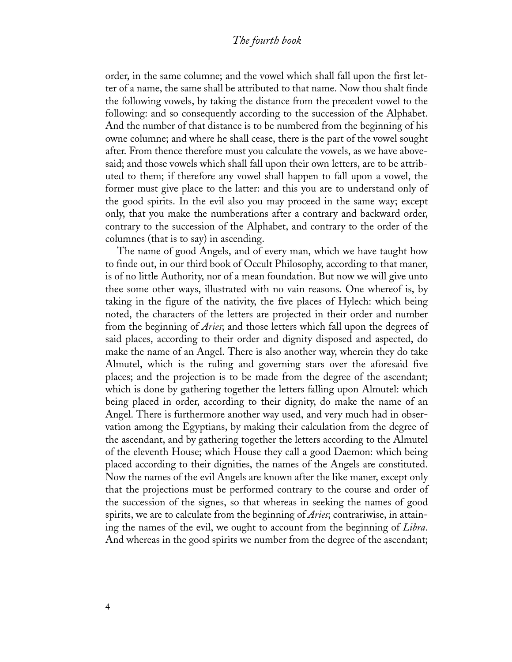order, in the same columne; and the vowel which shall fall upon the first letter of a name, the same shall be attributed to that name. Now thou shalt finde the following vowels, by taking the distance from the precedent vowel to the following: and so consequently according to the succession of the Alphabet. And the number of that distance is to be numbered from the beginning of his owne columne; and where he shall cease, there is the part of the vowel sought after. From thence therefore must you calculate the vowels, as we have abovesaid; and those vowels which shall fall upon their own letters, are to be attributed to them; if therefore any vowel shall happen to fall upon a vowel, the former must give place to the latter: and this you are to understand only of the good spirits. In the evil also you may proceed in the same way; except only, that you make the numberations after a contrary and backward order, contrary to the succession of the Alphabet, and contrary to the order of the columnes (that is to say) in ascending.

The name of good Angels, and of every man, which we have taught how to finde out, in our third book of Occult Philosophy, according to that maner, is of no little Authority, nor of a mean foundation. But now we will give unto thee some other ways, illustrated with no vain reasons. One whereof is, by taking in the figure of the nativity, the five places of Hylech: which being noted, the characters of the letters are projected in their order and number from the beginning of *Aries*; and those letters which fall upon the degrees of said places, according to their order and dignity disposed and aspected, do make the name of an Angel. There is also another way, wherein they do take Almutel, which is the ruling and governing stars over the aforesaid five places; and the projection is to be made from the degree of the ascendant; which is done by gathering together the letters falling upon Almutel: which being placed in order, according to their dignity, do make the name of an Angel. There is furthermore another way used, and very much had in observation among the Egyptians, by making their calculation from the degree of the ascendant, and by gathering together the letters according to the Almutel of the eleventh House; which House they call a good Daemon: which being placed according to their dignities, the names of the Angels are constituted. Now the names of the evil Angels are known after the like maner, except only that the projections must be performed contrary to the course and order of the succession of the signes, so that whereas in seeking the names of good spirits, we are to calculate from the beginning of *Aries*; contrariwise, in attaining the names of the evil, we ought to account from the beginning of *Libra*. And whereas in the good spirits we number from the degree of the ascendant;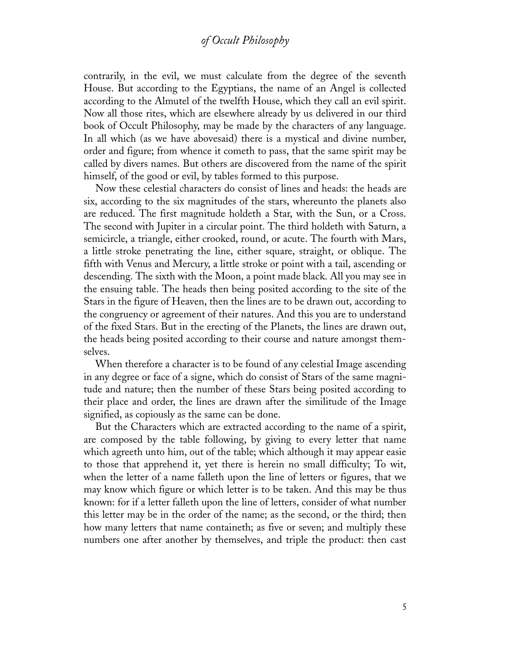contrarily, in the evil, we must calculate from the degree of the seventh House. But according to the Egyptians, the name of an Angel is collected according to the Almutel of the twelfth House, which they call an evil spirit. Now all those rites, which are elsewhere already by us delivered in our third book of Occult Philosophy, may be made by the characters of any language. In all which (as we have abovesaid) there is a mystical and divine number, order and figure; from whence it cometh to pass, that the same spirit may be called by divers names. But others are discovered from the name of the spirit himself, of the good or evil, by tables formed to this purpose.

Now these celestial characters do consist of lines and heads: the heads are six, according to the six magnitudes of the stars, whereunto the planets also are reduced. The first magnitude holdeth a Star, with the Sun, or a Cross. The second with Jupiter in a circular point. The third holdeth with Saturn, a semicircle, a triangle, either crooked, round, or acute. The fourth with Mars, a little stroke penetrating the line, either square, straight, or oblique. The fifth with Venus and Mercury, a little stroke or point with a tail, ascending or descending. The sixth with the Moon, a point made black. All you may see in the ensuing table. The heads then being posited according to the site of the Stars in the figure of Heaven, then the lines are to be drawn out, according to the congruency or agreement of their natures. And this you are to understand of the fixed Stars. But in the erecting of the Planets, the lines are drawn out, the heads being posited according to their course and nature amongst themselves.

When therefore a character is to be found of any celestial Image ascending in any degree or face of a signe, which do consist of Stars of the same magnitude and nature; then the number of these Stars being posited according to their place and order, the lines are drawn after the similitude of the Image signified, as copiously as the same can be done.

But the Characters which are extracted according to the name of a spirit, are composed by the table following, by giving to every letter that name which agreeth unto him, out of the table; which although it may appear easie to those that apprehend it, yet there is herein no small difficulty; To wit, when the letter of a name falleth upon the line of letters or figures, that we may know which figure or which letter is to be taken. And this may be thus known: for if a letter falleth upon the line of letters, consider of what number this letter may be in the order of the name; as the second, or the third; then how many letters that name containeth; as five or seven; and multiply these numbers one after another by themselves, and triple the product: then cast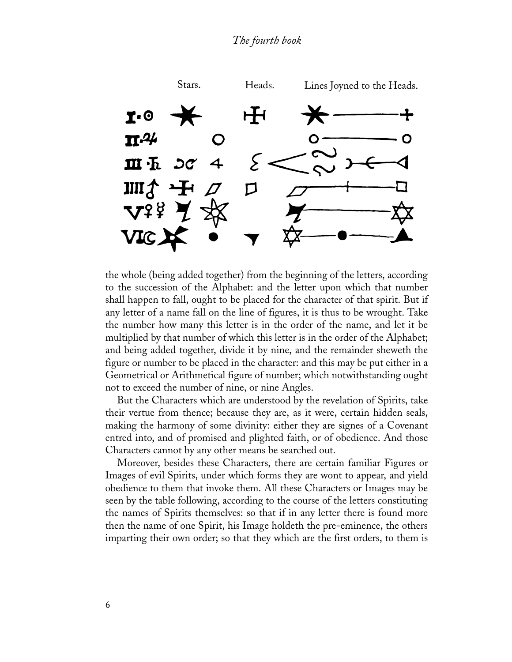

the whole (being added together) from the beginning of the letters, according to the succession of the Alphabet: and the letter upon which that number shall happen to fall, ought to be placed for the character of that spirit. But if any letter of a name fall on the line of figures, it is thus to be wrought. Take the number how many this letter is in the order of the name, and let it be multiplied by that number of which this letter is in the order of the Alphabet; and being added together, divide it by nine, and the remainder sheweth the figure or number to be placed in the character: and this may be put either in a Geometrical or Arithmetical figure of number; which notwithstanding ought not to exceed the number of nine, or nine Angles.

But the Characters which are understood by the revelation of Spirits, take their vertue from thence; because they are, as it were, certain hidden seals, making the harmony of some divinity: either they are signes of a Covenant entred into, and of promised and plighted faith, or of obedience. And those Characters cannot by any other means be searched out.

Moreover, besides these Characters, there are certain familiar Figures or Images of evil Spirits, under which forms they are wont to appear, and yield obedience to them that invoke them. All these Characters or Images may be seen by the table following, according to the course of the letters constituting the names of Spirits themselves: so that if in any letter there is found more then the name of one Spirit, his Image holdeth the pre-eminence, the others imparting their own order; so that they which are the first orders, to them is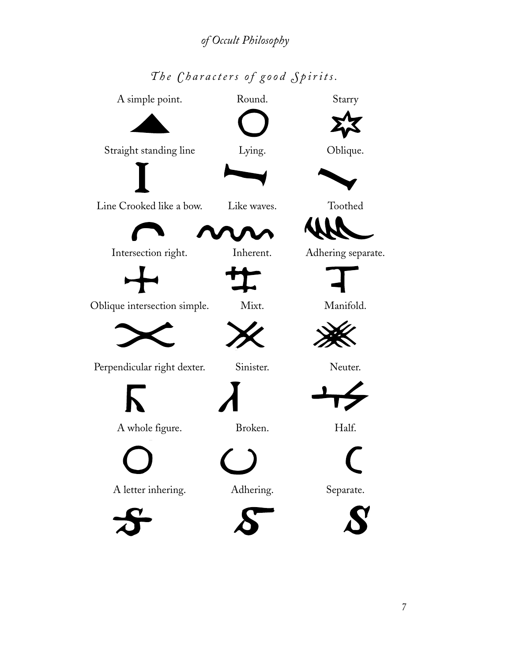*The C haracters of good Spirits.*

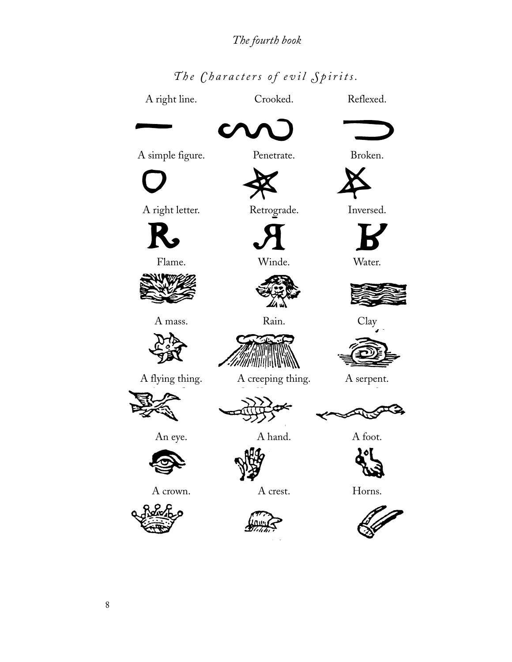# *The C haracters of evil Spirits.*

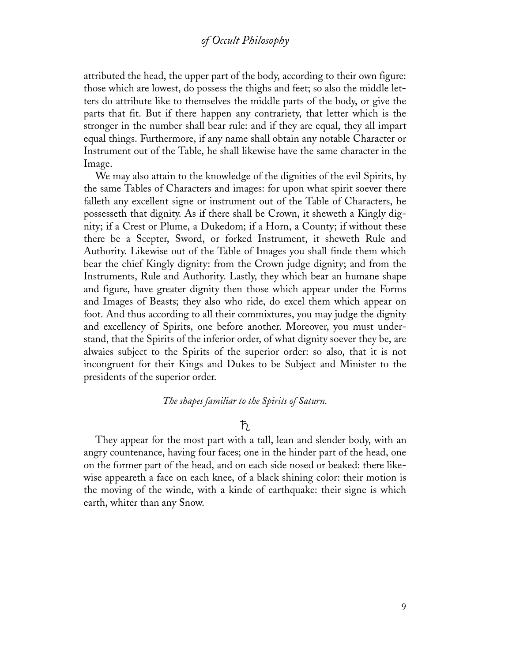attributed the head, the upper part of the body, according to their own figure: those which are lowest, do possess the thighs and feet; so also the middle letters do attribute like to themselves the middle parts of the body, or give the parts that fit. But if there happen any contrariety, that letter which is the stronger in the number shall bear rule: and if they are equal, they all impart equal things. Furthermore, if any name shall obtain any notable Character or Instrument out of the Table, he shall likewise have the same character in the Image.

We may also attain to the knowledge of the dignities of the evil Spirits, by the same Tables of Characters and images: for upon what spirit soever there falleth any excellent signe or instrument out of the Table of Characters, he possesseth that dignity. As if there shall be Crown, it sheweth a Kingly dignity; if a Crest or Plume, a Dukedom; if a Horn, a County; if without these there be a Scepter, Sword, or forked Instrument, it sheweth Rule and Authority. Likewise out of the Table of Images you shall finde them which bear the chief Kingly dignity: from the Crown judge dignity; and from the Instruments, Rule and Authority. Lastly, they which bear an humane shape and figure, have greater dignity then those which appear under the Forms and Images of Beasts; they also who ride, do excel them which appear on foot. And thus according to all their commixtures, you may judge the dignity and excellency of Spirits, one before another. Moreover, you must understand, that the Spirits of the inferior order, of what dignity soever they be, are alwaies subject to the Spirits of the superior order: so also, that it is not incongruent for their Kings and Dukes to be Subject and Minister to the presidents of the superior order.

*The shapes familiar to the Spirits of Saturn.*

ħ.

They appear for the most part with a tall, lean and slender body, with an angry countenance, having four faces; one in the hinder part of the head, one on the former part of the head, and on each side nosed or beaked: there likewise appeareth a face on each knee, of a black shining color: their motion is the moving of the winde, with a kinde of earthquake: their signe is which earth, whiter than any Snow.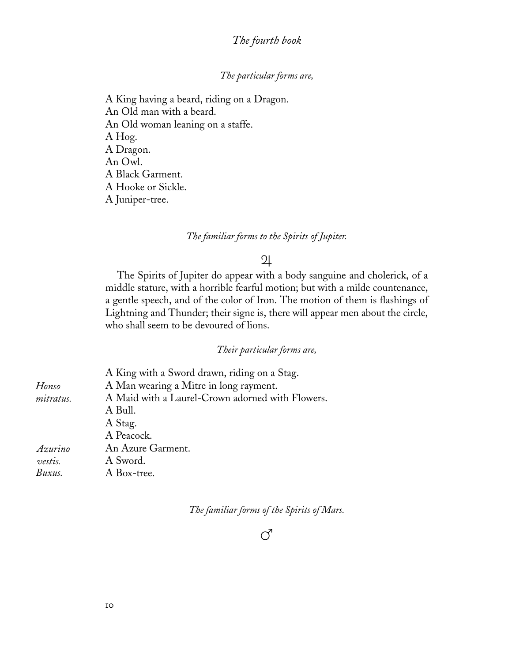#### *The particular forms are,*

A King having a beard, riding on a Dragon. An Old man with a beard. An Old woman leaning on a staffe. A Hog. A Dragon. An Owl. A Black Garment. A Hooke or Sickle. A Juniper-tree.

#### *The familiar forms to the Spirits of Jupiter.*

# 와

The Spirits of Jupiter do appear with a body sanguine and cholerick, of a middle stature, with a horrible fearful motion; but with a milde countenance, a gentle speech, and of the color of Iron. The motion of them is flashings of Lightning and Thunder; their signe is, there will appear men about the circle, who shall seem to be devoured of lions.

### *Their particular forms are,*

|           | A King with a Sword drawn, riding on a Stag.     |
|-----------|--------------------------------------------------|
| Honso     | A Man wearing a Mitre in long rayment.           |
| mitratus. | A Maid with a Laurel-Crown adorned with Flowers. |
|           | A Bull.                                          |
|           | A Stag.                                          |
|           | A Peacock.                                       |
| Azurino   | An Azure Garment.                                |
| vestis.   | A Sword.                                         |
| Buxus.    | A Box-tree.                                      |
|           |                                                  |

*The familiar forms of the Spirits of Mars.*

# $\overline{C}$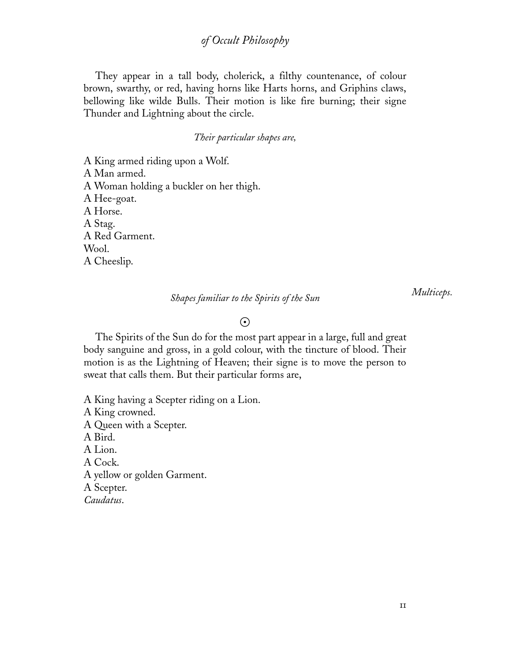They appear in a tall body, cholerick, a filthy countenance, of colour brown, swarthy, or red, having horns like Harts horns, and Griphins claws, bellowing like wilde Bulls. Their motion is like fire burning; their signe Thunder and Lightning about the circle.

### *Their particular shapes are,*

A King armed riding upon a Wolf. A Man armed. A Woman holding a buckler on her thigh. A Hee-goat. A Horse. A Stag. A Red Garment. Wool. A Cheeslip.

*Shapes familiar to the Spirits of the Sun*

*Multiceps.*

### $\odot$

The Spirits of the Sun do for the most part appear in a large, full and great body sanguine and gross, in a gold colour, with the tincture of blood. Their motion is as the Lightning of Heaven; their signe is to move the person to sweat that calls them. But their particular forms are,

A King having a Scepter riding on a Lion. A King crowned. A Queen with a Scepter. A Bird. A Lion. A Cock. A yellow or golden Garment. A Scepter. *Caudatus*.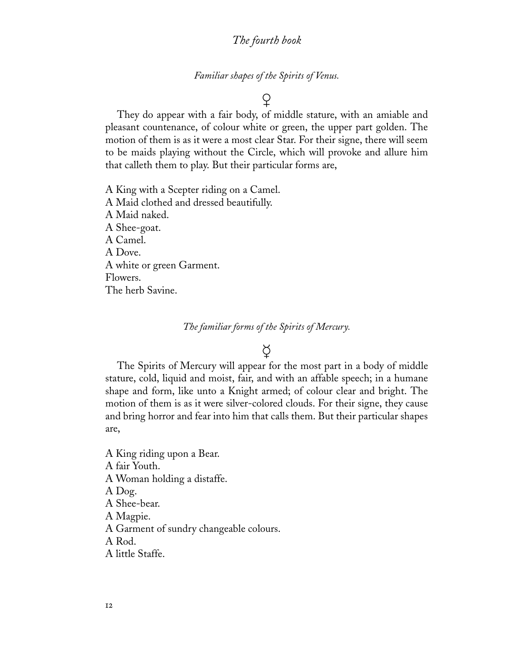*Familiar shapes of the Spirits of Venus.*

# ¥

They do appear with a fair body, of middle stature, with an amiable and pleasant countenance, of colour white or green, the upper part golden. The motion of them is as it were a most clear Star. For their signe, there will seem to be maids playing without the Circle, which will provoke and allure him that calleth them to play. But their particular forms are,

A King with a Scepter riding on a Camel. A Maid clothed and dressed beautifully. A Maid naked. A Shee-goat. A Camel. A Dove. A white or green Garment. Flowers. The herb Savine.

*The familiar forms of the Spirits of Mercury.*

# ğ

The Spirits of Mercury will appear for the most part in a body of middle stature, cold, liquid and moist, fair, and with an affable speech; in a humane shape and form, like unto a Knight armed; of colour clear and bright. The motion of them is as it were silver-colored clouds. For their signe, they cause and bring horror and fear into him that calls them. But their particular shapes are,

A King riding upon a Bear. A fair Youth. A Woman holding a distaffe. A Dog. A Shee-bear. A Magpie. A Garment of sundry changeable colours. A Rod. A little Staffe.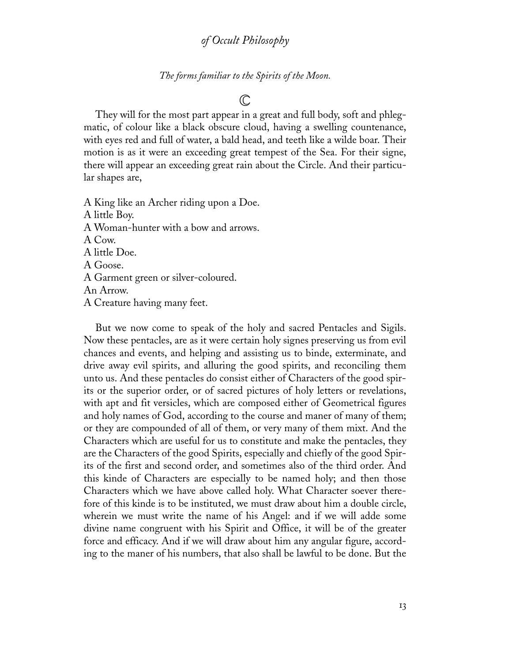*The forms familiar to the Spirits of the Moon.*

# $\mathbb{C}$

They will for the most part appear in a great and full body, soft and phlegmatic, of colour like a black obscure cloud, having a swelling countenance, with eyes red and full of water, a bald head, and teeth like a wilde boar. Their motion is as it were an exceeding great tempest of the Sea. For their signe, there will appear an exceeding great rain about the Circle. And their particular shapes are,

A King like an Archer riding upon a Doe. A little Boy. A Woman-hunter with a bow and arrows. A Cow. A little Doe. A Goose. A Garment green or silver-coloured. An Arrow. A Creature having many feet.

But we now come to speak of the holy and sacred Pentacles and Sigils. Now these pentacles, are as it were certain holy signes preserving us from evil chances and events, and helping and assisting us to binde, exterminate, and drive away evil spirits, and alluring the good spirits, and reconciling them unto us. And these pentacles do consist either of Characters of the good spirits or the superior order, or of sacred pictures of holy letters or revelations, with apt and fit versicles, which are composed either of Geometrical figures and holy names of God, according to the course and maner of many of them; or they are compounded of all of them, or very many of them mixt. And the Characters which are useful for us to constitute and make the pentacles, they are the Characters of the good Spirits, especially and chiefly of the good Spirits of the first and second order, and sometimes also of the third order. And this kinde of Characters are especially to be named holy; and then those Characters which we have above called holy. What Character soever therefore of this kinde is to be instituted, we must draw about him a double circle, wherein we must write the name of his Angel: and if we will adde some divine name congruent with his Spirit and Office, it will be of the greater force and efficacy. And if we will draw about him any angular figure, according to the maner of his numbers, that also shall be lawful to be done. But the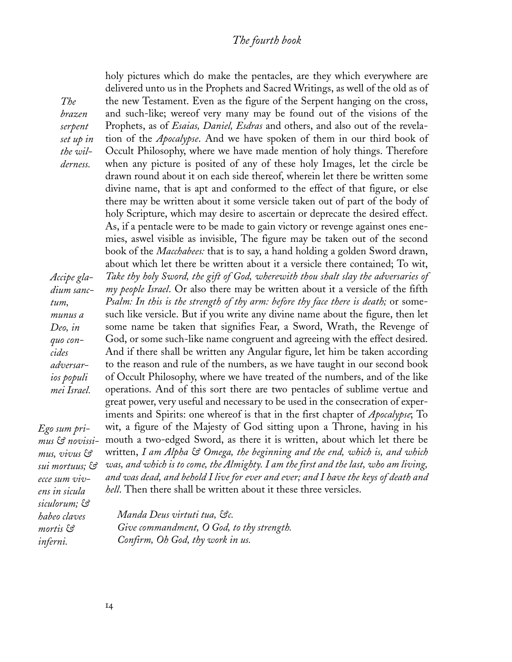holy pictures which do make the pentacles, are they which everywhere are delivered unto us in the Prophets and Sacred Writings, as well of the old as of the new Testament. Even as the figure of the Serpent hanging on the cross, and such-like; wereof very many may be found out of the visions of the Prophets, as of *Esaias, Daniel, Esdras* and others, and also out of the revelation of the *Apocalypse*. And we have spoken of them in our third book of Occult Philosophy, where we have made mention of holy things. Therefore when any picture is posited of any of these holy Images, let the circle be drawn round about it on each side thereof, wherein let there be written some divine name, that is apt and conformed to the effect of that figure, or else there may be written about it some versicle taken out of part of the body of holy Scripture, which may desire to ascertain or deprecate the desired effect. As, if a pentacle were to be made to gain victory or revenge against ones enemies, aswel visible as invisible, The figure may be taken out of the second book of the *Macchabees:* that is to say, a hand holding a golden Sword drawn, about which let there be written about it a versicle there contained; To wit, *Take thy holy Sword, the gift of God, wherewith thou shalt slay the adversaries of my people Israel*. Or also there may be written about it a versicle of the fifth *Psalm: In this is the strength of thy arm: before thy face there is death;* or somesuch like versicle. But if you write any divine name about the figure, then let some name be taken that signifies Fear, a Sword, Wrath, the Revenge of God, or some such-like name congruent and agreeing with the effect desired. And if there shall be written any Angular figure, let him be taken according to the reason and rule of the numbers, as we have taught in our second book of Occult Philosophy, where we have treated of the numbers, and of the like operations. And of this sort there are two pentacles of sublime vertue and great power, very useful and necessary to be used in the consecration of experiments and Spirits: one whereof is that in the first chapter of *Apocalypse*; To wit, a figure of the Majesty of God sitting upon a Throne, having in his mouth a two-edged Sword, as there it is written, about which let there be written, *I am Alpha & Omega, the beginning and the end, which is, and which was, and which is to come, the Almighty. I am the first and the last, who am living, and was dead, and behold I live for ever and ever; and I have the keys of death and hell*. Then there shall be written about it these three versicles. *The brazen serpent set up in the wilderness. Accipe gladium sancmus, vivus & sui mortuus; & ecce sum vivens in sicula* 

> *Manda Deus virtuti tua, &c. Give commandment, O God, to thy strength. Confirm, Oh God, thy work in us.*

*munus a Deo, in quo concides adversarios populi mei Israel. Ego sum primus & novissi-*

*siculorum; & habeo claves mortis & inferni.*

*tum,*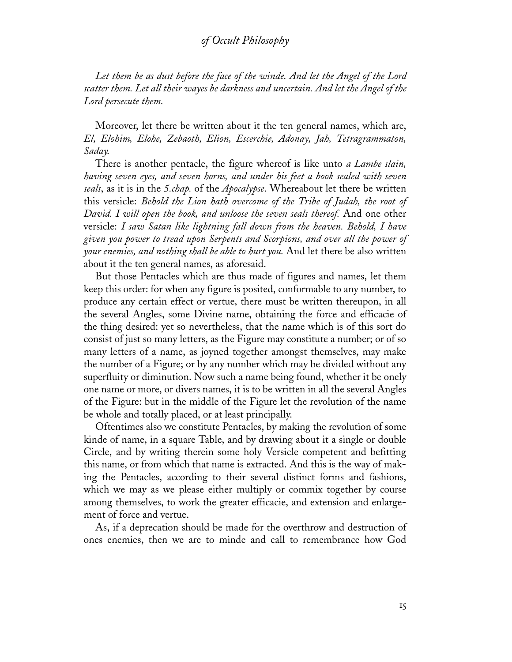*Let them be as dust before the face of the winde. And let the Angel of the Lord scatter them. Let all their wayes be darkness and uncertain. And let the Angel of the Lord persecute them.*

Moreover, let there be written about it the ten general names, which are, *El, Elohim, Elohe, Zebaoth, Elion, Escerchie, Adonay, Jah, Tetragrammaton, Saday*.

There is another pentacle, the figure whereof is like unto *a Lambe slain, having seven eyes, and seven horns, and under his feet a book sealed with seven seals*, as it is in the *5.chap.* of the *Apocalypse*. Whereabout let there be written this versicle: *Behold the Lion hath overcome of the Tribe of Judah, the root of David. I will open the book, and unloose the seven seals thereof.* And one other versicle: *I saw Satan like lightning fall down from the heaven. Behold, I have given you power to tread upon Serpents and Scorpions, and over all the power of your enemies, and nothing shall be able to hurt you.* And let there be also written about it the ten general names, as aforesaid.

But those Pentacles which are thus made of figures and names, let them keep this order: for when any figure is posited, conformable to any number, to produce any certain effect or vertue, there must be written thereupon, in all the several Angles, some Divine name, obtaining the force and efficacie of the thing desired: yet so nevertheless, that the name which is of this sort do consist of just so many letters, as the Figure may constitute a number; or of so many letters of a name, as joyned together amongst themselves, may make the number of a Figure; or by any number which may be divided without any superfluity or diminution. Now such a name being found, whether it be onely one name or more, or divers names, it is to be written in all the several Angles of the Figure: but in the middle of the Figure let the revolution of the name be whole and totally placed, or at least principally.

Oftentimes also we constitute Pentacles, by making the revolution of some kinde of name, in a square Table, and by drawing about it a single or double Circle, and by writing therein some holy Versicle competent and befitting this name, or from which that name is extracted. And this is the way of making the Pentacles, according to their several distinct forms and fashions, which we may as we please either multiply or commix together by course among themselves, to work the greater efficacie, and extension and enlargement of force and vertue.

As, if a deprecation should be made for the overthrow and destruction of ones enemies, then we are to minde and call to remembrance how God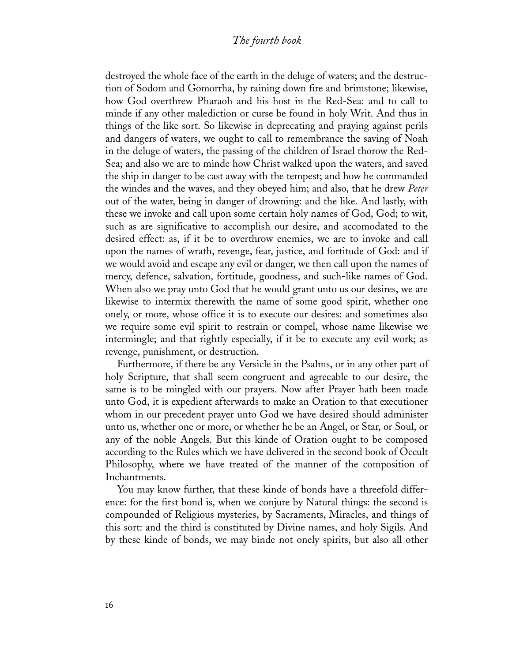destroyed the whole face of the earth in the deluge of waters; and the destruction of Sodom and Gomorrha, by raining down fire and brimstone; likewise, how God overthrew Pharaoh and his host in the Red-Sea: and to call to minde if any other malediction or curse be found in holy Writ. And thus in things of the like sort. So likewise in deprecating and praying against perils and dangers of waters, we ought to call to remembrance the saving of Noah in the deluge of waters, the passing of the children of Israel thorow the Red-Sea; and also we are to minde how Christ walked upon the waters, and saved the ship in danger to be cast away with the tempest; and how he commanded the windes and the waves, and they obeyed him; and also, that he drew *Peter* out of the water, being in danger of drowning: and the like. And lastly, with these we invoke and call upon some certain holy names of God, God; to wit, such as are significative to accomplish our desire, and accomodated to the desired effect: as, if it be to overthrow enemies, we are to invoke and call upon the names of wrath, revenge, fear, justice, and fortitude of God: and if we would avoid and escape any evil or danger, we then call upon the names of mercy, defence, salvation, fortitude, goodness, and such-like names of God. When also we pray unto God that he would grant unto us our desires, we are likewise to intermix therewith the name of some good spirit, whether one onely, or more, whose office it is to execute our desires: and sometimes also we require some evil spirit to restrain or compel, whose name likewise we intermingle; and that rightly especially, if it be to execute any evil work; as revenge, punishment, or destruction.

Furthermore, if there be any Versicle in the Psalms, or in any other part of holy Scripture, that shall seem congruent and agreeable to our desire, the same is to be mingled with our prayers. Now after Prayer hath been made unto God, it is expedient afterwards to make an Oration to that executioner whom in our precedent prayer unto God we have desired should administer unto us, whether one or more, or whether he be an Angel, or Star, or Soul, or any of the noble Angels. But this kinde of Oration ought to be composed according to the Rules which we have delivered in the second book of Occult Philosophy, where we have treated of the manner of the composition of Inchantments.

You may know further, that these kinde of bonds have a threefold difference: for the first bond is, when we conjure by Natural things: the second is compounded of Religious mysteries, by Sacraments, Miracles, and things of this sort: and the third is constituted by Divine names, and holy Sigils. And by these kinde of bonds, we may binde not onely spirits, but also all other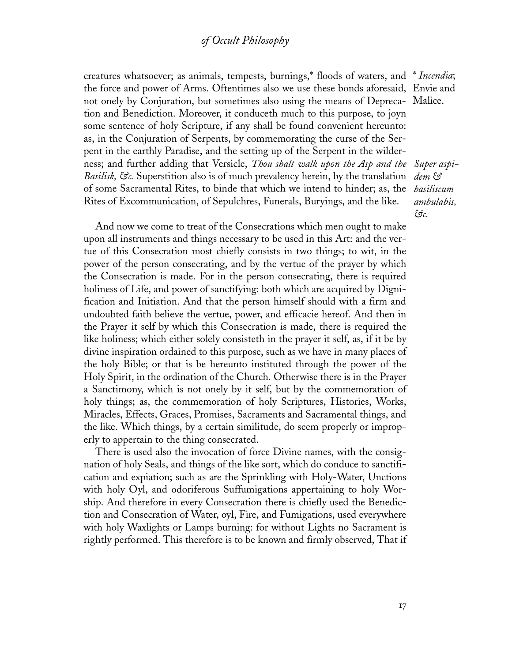creatures whatsoever; as animals, tempests, burnings,\* floods of waters, and \* *Incendia*; the force and power of Arms. Oftentimes also we use these bonds aforesaid, Envie and not onely by Conjuration, but sometimes also using the means of Depreca-Malice. tion and Benediction. Moreover, it conduceth much to this purpose, to joyn some sentence of holy Scripture, if any shall be found convenient hereunto: as, in the Conjuration of Serpents, by commemorating the curse of the Serpent in the earthly Paradise, and the setting up of the Serpent in the wilderness; and further adding that Versicle, *Thou shalt walk upon the Asp and the Basilisk, &c.* Superstition also is of much prevalency herein, by the translation of some Sacramental Rites, to binde that which we intend to hinder; as, the *basiliscum*  Rites of Excommunication, of Sepulchres, Funerals, Buryings, and the like.

*Super aspidem & ambulabis, &c.*

And now we come to treat of the Consecrations which men ought to make upon all instruments and things necessary to be used in this Art: and the vertue of this Consecration most chiefly consists in two things; to wit, in the power of the person consecrating, and by the vertue of the prayer by which the Consecration is made. For in the person consecrating, there is required holiness of Life, and power of sanctifying: both which are acquired by Dignification and Initiation. And that the person himself should with a firm and undoubted faith believe the vertue, power, and efficacie hereof. And then in the Prayer it self by which this Consecration is made, there is required the like holiness; which either solely consisteth in the prayer it self, as, if it be by divine inspiration ordained to this purpose, such as we have in many places of the holy Bible; or that is be hereunto instituted through the power of the Holy Spirit, in the ordination of the Church. Otherwise there is in the Prayer a Sanctimony, which is not onely by it self, but by the commemoration of holy things; as, the commemoration of holy Scriptures, Histories, Works, Miracles, Effects, Graces, Promises, Sacraments and Sacramental things, and the like. Which things, by a certain similitude, do seem properly or improperly to appertain to the thing consecrated.

There is used also the invocation of force Divine names, with the consignation of holy Seals, and things of the like sort, which do conduce to sanctification and expiation; such as are the Sprinkling with Holy-Water, Unctions with holy Oyl, and odoriferous Suffumigations appertaining to holy Worship. And therefore in every Consecration there is chiefly used the Benediction and Consecration of Water, oyl, Fire, and Fumigations, used everywhere with holy Waxlights or Lamps burning: for without Lights no Sacrament is rightly performed. This therefore is to be known and firmly observed, That if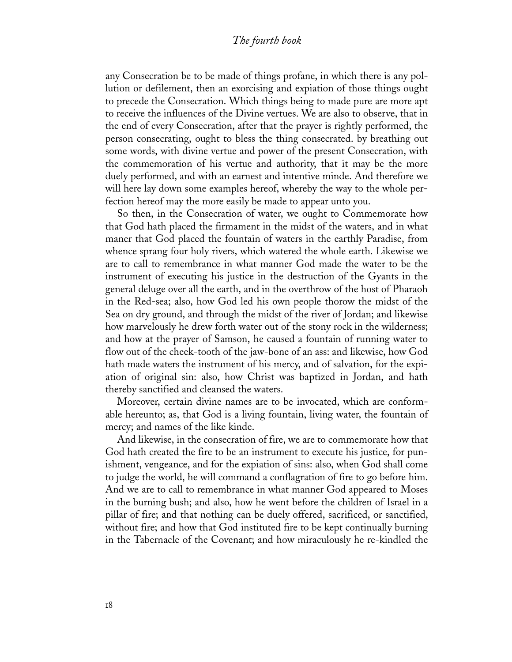any Consecration be to be made of things profane, in which there is any pollution or defilement, then an exorcising and expiation of those things ought to precede the Consecration. Which things being to made pure are more apt to receive the influences of the Divine vertues. We are also to observe, that in the end of every Consecration, after that the prayer is rightly performed, the person consecrating, ought to bless the thing consecrated. by breathing out some words, with divine vertue and power of the present Consecration, with the commemoration of his vertue and authority, that it may be the more duely performed, and with an earnest and intentive minde. And therefore we will here lay down some examples hereof, whereby the way to the whole perfection hereof may the more easily be made to appear unto you.

So then, in the Consecration of water, we ought to Commemorate how that God hath placed the firmament in the midst of the waters, and in what maner that God placed the fountain of waters in the earthly Paradise, from whence sprang four holy rivers, which watered the whole earth. Likewise we are to call to remembrance in what manner God made the water to be the instrument of executing his justice in the destruction of the Gyants in the general deluge over all the earth, and in the overthrow of the host of Pharaoh in the Red-sea; also, how God led his own people thorow the midst of the Sea on dry ground, and through the midst of the river of Jordan; and likewise how marvelously he drew forth water out of the stony rock in the wilderness; and how at the prayer of Samson, he caused a fountain of running water to flow out of the cheek-tooth of the jaw-bone of an ass: and likewise, how God hath made waters the instrument of his mercy, and of salvation, for the expiation of original sin: also, how Christ was baptized in Jordan, and hath thereby sanctified and cleansed the waters.

Moreover, certain divine names are to be invocated, which are conformable hereunto; as, that God is a living fountain, living water, the fountain of mercy; and names of the like kinde.

And likewise, in the consecration of fire, we are to commemorate how that God hath created the fire to be an instrument to execute his justice, for punishment, vengeance, and for the expiation of sins: also, when God shall come to judge the world, he will command a conflagration of fire to go before him. And we are to call to remembrance in what manner God appeared to Moses in the burning bush; and also, how he went before the children of Israel in a pillar of fire; and that nothing can be duely offered, sacrificed, or sanctified, without fire; and how that God instituted fire to be kept continually burning in the Tabernacle of the Covenant; and how miraculously he re-kindled the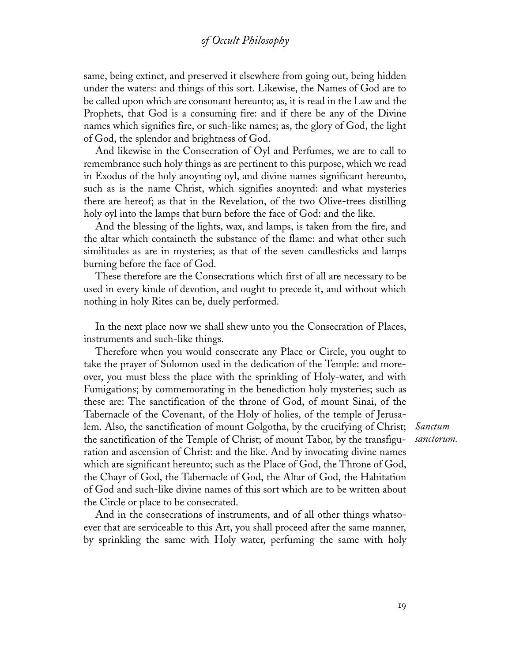same, being extinct, and preserved it elsewhere from going out, being hidden under the waters: and things of this sort. Likewise, the Names of God are to be called upon which are consonant hereunto; as, it is read in the Law and the Prophets, that God is a consuming fire: and if there be any of the Divine names which signifies fire, or such-like names; as, the glory of God, the light of God, the splendor and brightness of God.

And likewise in the Consecration of Oyl and Perfumes, we are to call to remembrance such holy things as are pertinent to this purpose, which we read in Exodus of the holy anoynting oyl, and divine names significant hereunto, such as is the name Christ, which signifies anoynted: and what mysteries there are hereof; as that in the Revelation, of the two Olive-trees distilling holy oyl into the lamps that burn before the face of God: and the like.

And the blessing of the lights, wax, and lamps, is taken from the fire, and the altar which containeth the substance of the flame: and what other such similitudes as are in mysteries; as that of the seven candlesticks and lamps burning before the face of God.

These therefore are the Consecrations which first of all are necessary to be used in every kinde of devotion, and ought to precede it, and without which nothing in holy Rites can be, duely performed.

In the next place now we shall shew unto you the Consecration of Places, instruments and such-like things.

Therefore when you would consecrate any Place or Circle, you ought to take the prayer of Solomon used in the dedication of the Temple: and moreover, you must bless the place with the sprinkling of Holy-water, and with Fumigations; by commemorating in the benediction holy mysteries; such as these are: The sanctification of the throne of God, of mount Sinai, of the Tabernacle of the Covenant, of the Holy of holies, of the temple of Jerusalem. Also, the sanctification of mount Golgotha, by the crucifying of Christ; the sanctification of the Temple of Christ; of mount Tabor, by the transfiguration and ascension of Christ: and the like. And by invocating divine names which are significant hereunto; such as the Place of God, the Throne of God, the Chayr of God, the Tabernacle of God, the Altar of God, the Habitation of God and such-like divine names of this sort which are to be written about the Circle or place to be consecrated.

And in the consecrations of instruments, and of all other things whatsoever that are serviceable to this Art, you shall proceed after the same manner, by sprinkling the same with Holy water, perfuming the same with holy

*Sanctum sanctorum.*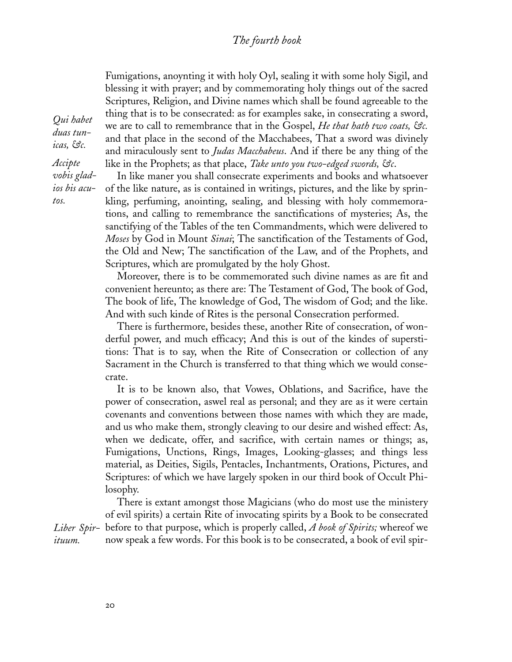Fumigations, anoynting it with holy Oyl, sealing it with some holy Sigil, and blessing it with prayer; and by commemorating holy things out of the sacred Scriptures, Religion, and Divine names which shall be found agreeable to the thing that is to be consecrated: as for examples sake, in consecrating a sword, we are to call to remembrance that in the Gospel, *He that hath two coats, &c.* and that place in the second of the Macchabees, That a sword was divinely and miraculously sent to *Judas Macchabeus*. And if there be any thing of the like in the Prophets; as that place, *Take unto you two-edged swords, &c*.

In like maner you shall consecrate experiments and books and whatsoever of the like nature, as is contained in writings, pictures, and the like by sprinkling, perfuming, anointing, sealing, and blessing with holy commemorations, and calling to remembrance the sanctifications of mysteries; As, the sanctifying of the Tables of the ten Commandments, which were delivered to *Moses* by God in Mount *Sinai*; The sanctification of the Testaments of God, the Old and New; The sanctification of the Law, and of the Prophets, and Scriptures, which are promulgated by the holy Ghost.

Moreover, there is to be commemorated such divine names as are fit and convenient hereunto; as there are: The Testament of God, The book of God, The book of life, The knowledge of God, The wisdom of God; and the like. And with such kinde of Rites is the personal Consecration performed.

There is furthermore, besides these, another Rite of consecration, of wonderful power, and much efficacy; And this is out of the kindes of superstitions: That is to say, when the Rite of Consecration or collection of any Sacrament in the Church is transferred to that thing which we would consecrate.

It is to be known also, that Vowes, Oblations, and Sacrifice, have the power of consecration, aswel real as personal; and they are as it were certain covenants and conventions between those names with which they are made, and us who make them, strongly cleaving to our desire and wished effect: As, when we dedicate, offer, and sacrifice, with certain names or things; as, Fumigations, Unctions, Rings, Images, Looking-glasses; and things less material, as Deities, Sigils, Pentacles, Inchantments, Orations, Pictures, and Scriptures: of which we have largely spoken in our third book of Occult Philosophy.

There is extant amongst those Magicians (who do most use the ministery of evil spirits) a certain Rite of invocating spirits by a Book to be consecrated Liber Spir- before to that purpose, which is properly called, *A book of Spirits*; whereof we now speak a few words. For this book is to be consecrated, a book of evil spir*ituum.*

*Qui habet duas tunicas, &c. Accipte vobis gladios bis acu-*

*tos.*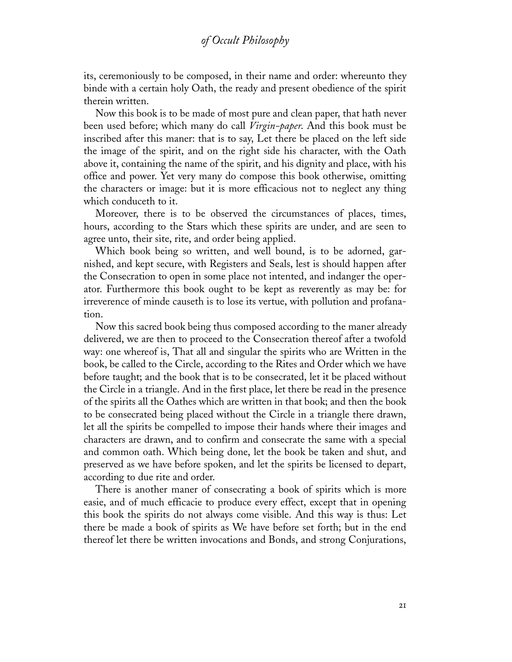its, ceremoniously to be composed, in their name and order: whereunto they binde with a certain holy Oath, the ready and present obedience of the spirit therein written.

Now this book is to be made of most pure and clean paper, that hath never been used before; which many do call *Virgin-paper*. And this book must be inscribed after this maner: that is to say, Let there be placed on the left side the image of the spirit, and on the right side his character, with the Oath above it, containing the name of the spirit, and his dignity and place, with his office and power. Yet very many do compose this book otherwise, omitting the characters or image: but it is more efficacious not to neglect any thing which conduceth to it.

Moreover, there is to be observed the circumstances of places, times, hours, according to the Stars which these spirits are under, and are seen to agree unto, their site, rite, and order being applied.

Which book being so written, and well bound, is to be adorned, garnished, and kept secure, with Registers and Seals, lest is should happen after the Consecration to open in some place not intented, and indanger the operator. Furthermore this book ought to be kept as reverently as may be: for irreverence of minde causeth is to lose its vertue, with pollution and profanation.

Now this sacred book being thus composed according to the maner already delivered, we are then to proceed to the Consecration thereof after a twofold way: one whereof is, That all and singular the spirits who are Written in the book, be called to the Circle, according to the Rites and Order which we have before taught; and the book that is to be consecrated, let it be placed without the Circle in a triangle. And in the first place, let there be read in the presence of the spirits all the Oathes which are written in that book; and then the book to be consecrated being placed without the Circle in a triangle there drawn, let all the spirits be compelled to impose their hands where their images and characters are drawn, and to confirm and consecrate the same with a special and common oath. Which being done, let the book be taken and shut, and preserved as we have before spoken, and let the spirits be licensed to depart, according to due rite and order.

There is another maner of consecrating a book of spirits which is more easie, and of much efficacie to produce every effect, except that in opening this book the spirits do not always come visible. And this way is thus: Let there be made a book of spirits as We have before set forth; but in the end thereof let there be written invocations and Bonds, and strong Conjurations,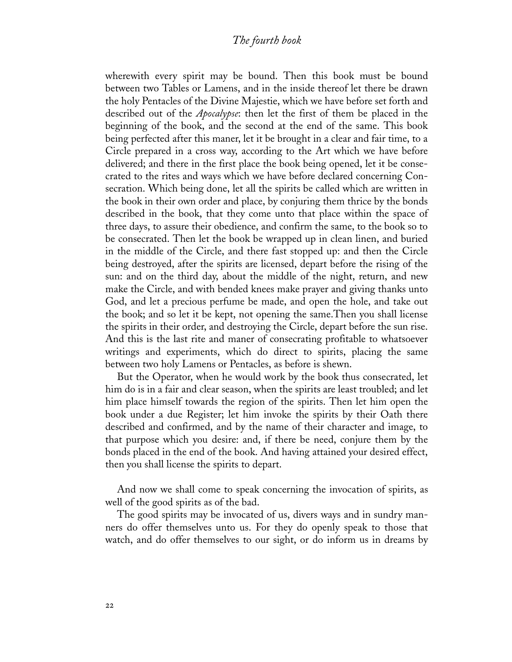wherewith every spirit may be bound. Then this book must be bound between two Tables or Lamens, and in the inside thereof let there be drawn the holy Pentacles of the Divine Majestie, which we have before set forth and described out of the *Apocalypse*: then let the first of them be placed in the beginning of the book, and the second at the end of the same. This book being perfected after this maner, let it be brought in a clear and fair time, to a Circle prepared in a cross way, according to the Art which we have before delivered; and there in the first place the book being opened, let it be consecrated to the rites and ways which we have before declared concerning Consecration. Which being done, let all the spirits be called which are written in the book in their own order and place, by conjuring them thrice by the bonds described in the book, that they come unto that place within the space of three days, to assure their obedience, and confirm the same, to the book so to be consecrated. Then let the book be wrapped up in clean linen, and buried in the middle of the Circle, and there fast stopped up: and then the Circle being destroyed, after the spirits are licensed, depart before the rising of the sun: and on the third day, about the middle of the night, return, and new make the Circle, and with bended knees make prayer and giving thanks unto God, and let a precious perfume be made, and open the hole, and take out the book; and so let it be kept, not opening the same.Then you shall license the spirits in their order, and destroying the Circle, depart before the sun rise. And this is the last rite and maner of consecrating profitable to whatsoever writings and experiments, which do direct to spirits, placing the same between two holy Lamens or Pentacles, as before is shewn.

But the Operator, when he would work by the book thus consecrated, let him do is in a fair and clear season, when the spirits are least troubled; and let him place himself towards the region of the spirits. Then let him open the book under a due Register; let him invoke the spirits by their Oath there described and confirmed, and by the name of their character and image, to that purpose which you desire: and, if there be need, conjure them by the bonds placed in the end of the book. And having attained your desired effect, then you shall license the spirits to depart.

And now we shall come to speak concerning the invocation of spirits, as well of the good spirits as of the bad.

The good spirits may be invocated of us, divers ways and in sundry manners do offer themselves unto us. For they do openly speak to those that watch, and do offer themselves to our sight, or do inform us in dreams by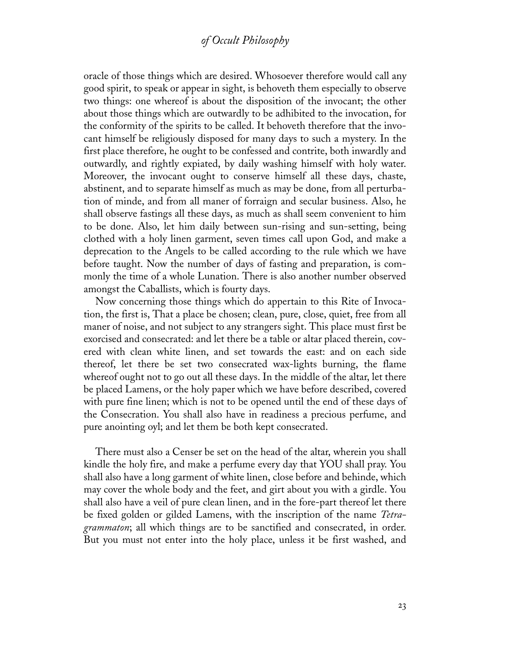oracle of those things which are desired. Whosoever therefore would call any good spirit, to speak or appear in sight, is behoveth them especially to observe two things: one whereof is about the disposition of the invocant; the other about those things which are outwardly to be adhibited to the invocation, for the conformity of the spirits to be called. It behoveth therefore that the invocant himself be religiously disposed for many days to such a mystery. In the first place therefore, he ought to be confessed and contrite, both inwardly and outwardly, and rightly expiated, by daily washing himself with holy water. Moreover, the invocant ought to conserve himself all these days, chaste, abstinent, and to separate himself as much as may be done, from all perturbation of minde, and from all maner of forraign and secular business. Also, he shall observe fastings all these days, as much as shall seem convenient to him to be done. Also, let him daily between sun-rising and sun-setting, being clothed with a holy linen garment, seven times call upon God, and make a deprecation to the Angels to be called according to the rule which we have before taught. Now the number of days of fasting and preparation, is commonly the time of a whole Lunation. There is also another number observed amongst the Caballists, which is fourty days.

Now concerning those things which do appertain to this Rite of Invocation, the first is, That a place be chosen; clean, pure, close, quiet, free from all maner of noise, and not subject to any strangers sight. This place must first be exorcised and consecrated: and let there be a table or altar placed therein, covered with clean white linen, and set towards the east: and on each side thereof, let there be set two consecrated wax-lights burning, the flame whereof ought not to go out all these days. In the middle of the altar, let there be placed Lamens, or the holy paper which we have before described, covered with pure fine linen; which is not to be opened until the end of these days of the Consecration. You shall also have in readiness a precious perfume, and pure anointing oyl; and let them be both kept consecrated.

There must also a Censer be set on the head of the altar, wherein you shall kindle the holy fire, and make a perfume every day that YOU shall pray. You shall also have a long garment of white linen, close before and behinde, which may cover the whole body and the feet, and girt about you with a girdle. You shall also have a veil of pure clean linen, and in the fore-part thereof let there be fixed golden or gilded Lamens, with the inscription of the name *Tetragrammaton*; all which things are to be sanctified and consecrated, in order. But you must not enter into the holy place, unless it be first washed, and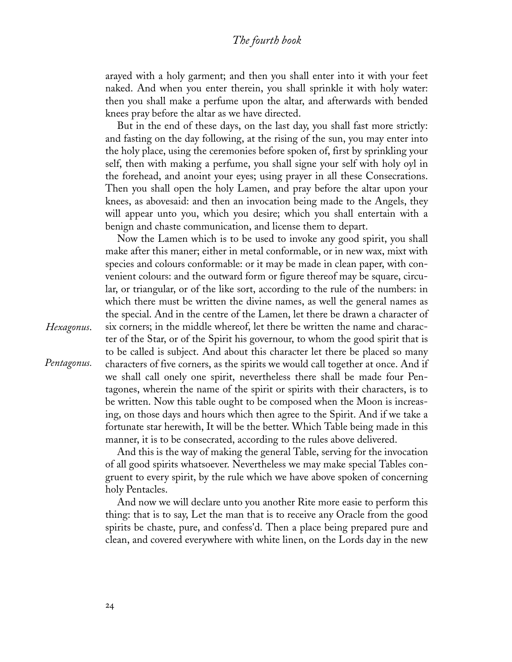arayed with a holy garment; and then you shall enter into it with your feet naked. And when you enter therein, you shall sprinkle it with holy water: then you shall make a perfume upon the altar, and afterwards with bended knees pray before the altar as we have directed.

But in the end of these days, on the last day, you shall fast more strictly: and fasting on the day following, at the rising of the sun, you may enter into the holy place, using the ceremonies before spoken of, first by sprinkling your self, then with making a perfume, you shall signe your self with holy oyl in the forehead, and anoint your eyes; using prayer in all these Consecrations. Then you shall open the holy Lamen, and pray before the altar upon your knees, as abovesaid: and then an invocation being made to the Angels, they will appear unto you, which you desire; which you shall entertain with a benign and chaste communication, and license them to depart.

Now the Lamen which is to be used to invoke any good spirit, you shall make after this maner; either in metal conformable, or in new wax, mixt with species and colours conformable: or it may be made in clean paper, with convenient colours: and the outward form or figure thereof may be square, circular, or triangular, or of the like sort, according to the rule of the numbers: in which there must be written the divine names, as well the general names as the special. And in the centre of the Lamen, let there be drawn a character of six corners; in the middle whereof, let there be written the name and character of the Star, or of the Spirit his governour, to whom the good spirit that is to be called is subject. And about this character let there be placed so many characters of five corners, as the spirits we would call together at once. And if we shall call onely one spirit, nevertheless there shall be made four Pentagones, wherein the name of the spirit or spirits with their characters, is to be written. Now this table ought to be composed when the Moon is increasing, on those days and hours which then agree to the Spirit. And if we take a fortunate star herewith, It will be the better. Which Table being made in this manner, it is to be consecrated, according to the rules above delivered.

And this is the way of making the general Table, serving for the invocation of all good spirits whatsoever. Nevertheless we may make special Tables congruent to every spirit, by the rule which we have above spoken of concerning holy Pentacles.

And now we will declare unto you another Rite more easie to perform this thing: that is to say, Let the man that is to receive any Oracle from the good spirits be chaste, pure, and confess'd. Then a place being prepared pure and clean, and covered everywhere with white linen, on the Lords day in the new

*Hexagonus*.

*Pentagonus.*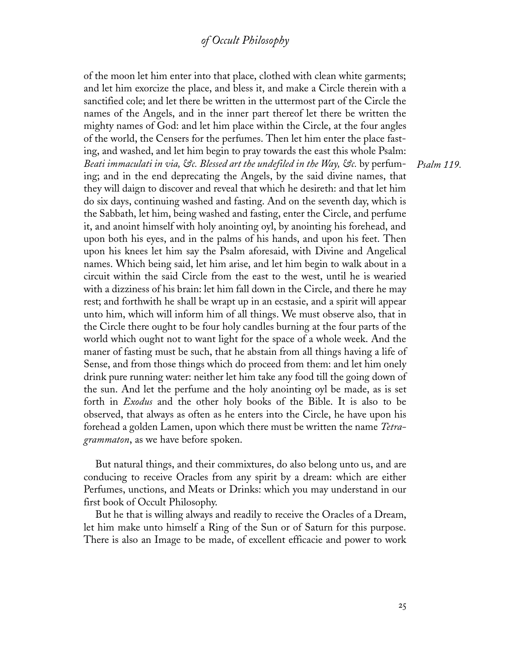of the moon let him enter into that place, clothed with clean white garments; and let him exorcize the place, and bless it, and make a Circle therein with a sanctified cole; and let there be written in the uttermost part of the Circle the names of the Angels, and in the inner part thereof let there be written the mighty names of God: and let him place within the Circle, at the four angles of the world, the Censers for the perfumes. Then let him enter the place fasting, and washed, and let him begin to pray towards the east this whole Psalm: *Beati immaculati in via, &c. Blessed art the undefiled in the Way, &c.* by perfuming; and in the end deprecating the Angels, by the said divine names, that they will daign to discover and reveal that which he desireth: and that let him do six days, continuing washed and fasting. And on the seventh day, which is the Sabbath, let him, being washed and fasting, enter the Circle, and perfume it, and anoint himself with holy anointing oyl, by anointing his forehead, and upon both his eyes, and in the palms of his hands, and upon his feet. Then upon his knees let him say the Psalm aforesaid, with Divine and Angelical names. Which being said, let him arise, and let him begin to walk about in a circuit within the said Circle from the east to the west, until he is wearied with a dizziness of his brain: let him fall down in the Circle, and there he may rest; and forthwith he shall be wrapt up in an ecstasie, and a spirit will appear unto him, which will inform him of all things. We must observe also, that in the Circle there ought to be four holy candles burning at the four parts of the world which ought not to want light for the space of a whole week. And the maner of fasting must be such, that he abstain from all things having a life of Sense, and from those things which do proceed from them: and let him onely drink pure running water: neither let him take any food till the going down of the sun. And let the perfume and the holy anointing oyl be made, as is set forth in *Exodus* and the other holy books of the Bible. It is also to be observed, that always as often as he enters into the Circle, he have upon his forehead a golden Lamen, upon which there must be written the name *Tetragrammaton*, as we have before spoken.

But natural things, and their commixtures, do also belong unto us, and are conducing to receive Oracles from any spirit by a dream: which are either Perfumes, unctions, and Meats or Drinks: which you may understand in our first book of Occult Philosophy.

But he that is willing always and readily to receive the Oracles of a Dream, let him make unto himself a Ring of the Sun or of Saturn for this purpose. There is also an Image to be made, of excellent efficacie and power to work *Psalm 119.*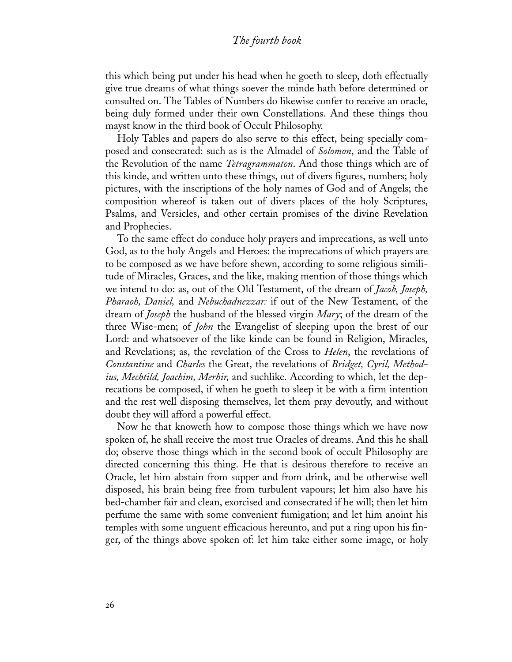this which being put under his head when he goeth to sleep, doth effectually give true dreams of what things soever the minde hath before determined or consulted on. The Tables of Numbers do likewise confer to receive an oracle, being duly formed under their own Constellations. And these things thou mayst know in the third book of Occult Philosophy.

Holy Tables and papers do also serve to this effect, being specially composed and consecrated: such as is the Almadel of *Solomon*, and the Table of the Revolution of the name *Tetragrammaton*. And those things which are of this kinde, and written unto these things, out of divers figures, numbers; holy pictures, with the inscriptions of the holy names of God and of Angels; the composition whereof is taken out of divers places of the holy Scriptures, Psalms, and Versicles, and other certain promises of the divine Revelation and Prophecies.

To the same effect do conduce holy prayers and imprecations, as well unto God, as to the holy Angels and Heroes: the imprecations of which prayers are to be composed as we have before shewn, according to some religious similitude of Miracles, Graces, and the like, making mention of those things which we intend to do: as, out of the Old Testament, of the dream of *Jacob, Joseph, Pharaoh, Daniel,* and *Nebuchadnezzar:* if out of the New Testament, of the dream of *Joseph* the husband of the blessed virgin *Mary*; of the dream of the three Wise-men; of *John* the Evangelist of sleeping upon the brest of our Lord: and whatsoever of the like kinde can be found in Religion, Miracles, and Revelations; as, the revelation of the Cross to *Helen*, the revelations of *Constantine* and *Charles* the Great, the revelations of *Bridget, Cyril, Methodius, Mechtild, Joachim, Merhir,* and suchlike. According to which, let the deprecations be composed, if when he goeth to sleep it be with a firm intention and the rest well disposing themselves, let them pray devoutly, and without doubt they will afford a powerful effect.

Now he that knoweth how to compose those things which we have now spoken of, he shall receive the most true Oracles of dreams. And this he shall do; observe those things which in the second book of occult Philosophy are directed concerning this thing. He that is desirous therefore to receive an Oracle, let him abstain from supper and from drink, and be otherwise well disposed, his brain being free from turbulent vapours; let him also have his bed-chamber fair and clean, exorcised and consecrated if he will; then let him perfume the same with some convenient fumigation; and let him anoint his temples with some unguent efficacious hereunto, and put a ring upon his finger, of the things above spoken of: let him take either some image, or holy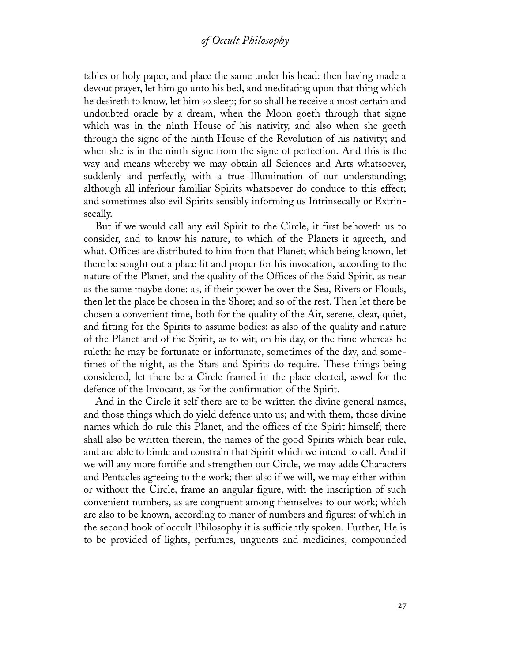tables or holy paper, and place the same under his head: then having made a devout prayer, let him go unto his bed, and meditating upon that thing which he desireth to know, let him so sleep; for so shall he receive a most certain and undoubted oracle by a dream, when the Moon goeth through that signe which was in the ninth House of his nativity, and also when she goeth through the signe of the ninth House of the Revolution of his nativity; and when she is in the ninth signe from the signe of perfection. And this is the way and means whereby we may obtain all Sciences and Arts whatsoever, suddenly and perfectly, with a true Illumination of our understanding; although all inferiour familiar Spirits whatsoever do conduce to this effect; and sometimes also evil Spirits sensibly informing us Intrinsecally or Extrinsecally.

But if we would call any evil Spirit to the Circle, it first behoveth us to consider, and to know his nature, to which of the Planets it agreeth, and what. Offices are distributed to him from that Planet; which being known, let there be sought out a place fit and proper for his invocation, according to the nature of the Planet, and the quality of the Offices of the Said Spirit, as near as the same maybe done: as, if their power be over the Sea, Rivers or Flouds, then let the place be chosen in the Shore; and so of the rest. Then let there be chosen a convenient time, both for the quality of the Air, serene, clear, quiet, and fitting for the Spirits to assume bodies; as also of the quality and nature of the Planet and of the Spirit, as to wit, on his day, or the time whereas he ruleth: he may be fortunate or infortunate, sometimes of the day, and sometimes of the night, as the Stars and Spirits do require. These things being considered, let there be a Circle framed in the place elected, aswel for the defence of the Invocant, as for the confirmation of the Spirit.

And in the Circle it self there are to be written the divine general names, and those things which do yield defence unto us; and with them, those divine names which do rule this Planet, and the offices of the Spirit himself; there shall also be written therein, the names of the good Spirits which bear rule, and are able to binde and constrain that Spirit which we intend to call. And if we will any more fortifie and strengthen our Circle, we may adde Characters and Pentacles agreeing to the work; then also if we will, we may either within or without the Circle, frame an angular figure, with the inscription of such convenient numbers, as are congruent among themselves to our work; which are also to be known, according to maner of numbers and figures: of which in the second book of occult Philosophy it is sufficiently spoken. Further, He is to be provided of lights, perfumes, unguents and medicines, compounded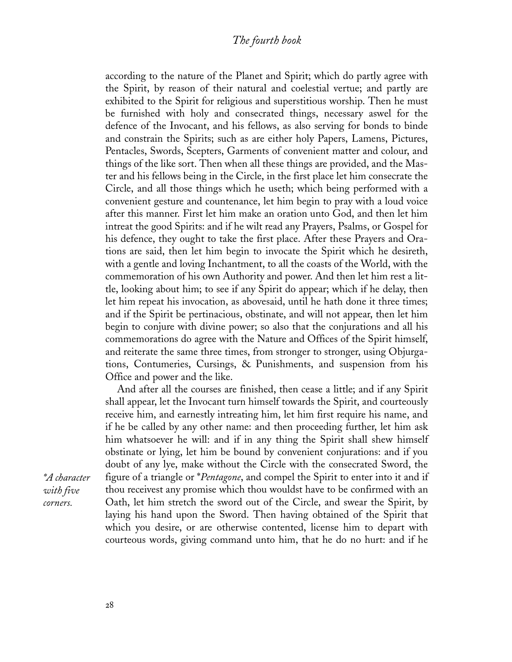according to the nature of the Planet and Spirit; which do partly agree with the Spirit, by reason of their natural and coelestial vertue; and partly are exhibited to the Spirit for religious and superstitious worship. Then he must be furnished with holy and consecrated things, necessary aswel for the defence of the Invocant, and his fellows, as also serving for bonds to binde and constrain the Spirits; such as are either holy Papers, Lamens, Pictures, Pentacles, Swords, Scepters, Garments of convenient matter and colour, and things of the like sort. Then when all these things are provided, and the Master and his fellows being in the Circle, in the first place let him consecrate the Circle, and all those things which he useth; which being performed with a convenient gesture and countenance, let him begin to pray with a loud voice after this manner. First let him make an oration unto God, and then let him intreat the good Spirits: and if he wilt read any Prayers, Psalms, or Gospel for his defence, they ought to take the first place. After these Prayers and Orations are said, then let him begin to invocate the Spirit which he desireth, with a gentle and loving Inchantment, to all the coasts of the World, with the commemoration of his own Authority and power. And then let him rest a little, looking about him; to see if any Spirit do appear; which if he delay, then let him repeat his invocation, as abovesaid, until he hath done it three times; and if the Spirit be pertinacious, obstinate, and will not appear, then let him begin to conjure with divine power; so also that the conjurations and all his commemorations do agree with the Nature and Offices of the Spirit himself, and reiterate the same three times, from stronger to stronger, using Objurgations, Contumeries, Cursings, & Punishments, and suspension from his Office and power and the like.

And after all the courses are finished, then cease a little; and if any Spirit shall appear, let the Invocant turn himself towards the Spirit, and courteously receive him, and earnestly intreating him, let him first require his name, and if he be called by any other name: and then proceeding further, let him ask him whatsoever he will: and if in any thing the Spirit shall shew himself obstinate or lying, let him be bound by convenient conjurations: and if you doubt of any lye, make without the Circle with the consecrated Sword, the figure of a triangle or \**Pentagone*, and compel the Spirit to enter into it and if thou receivest any promise which thou wouldst have to be confirmed with an Oath, let him stretch the sword out of the Circle, and swear the Spirit, by laying his hand upon the Sword. Then having obtained of the Spirit that which you desire, or are otherwise contented, license him to depart with courteous words, giving command unto him, that he do no hurt: and if he

*\*A character with five corners.*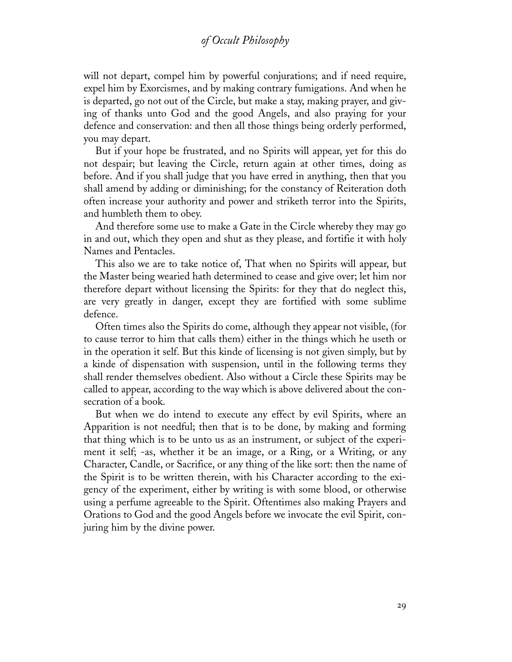will not depart, compel him by powerful conjurations; and if need require, expel him by Exorcismes, and by making contrary fumigations. And when he is departed, go not out of the Circle, but make a stay, making prayer, and giving of thanks unto God and the good Angels, and also praying for your defence and conservation: and then all those things being orderly performed, you may depart.

But if your hope be frustrated, and no Spirits will appear, yet for this do not despair; but leaving the Circle, return again at other times, doing as before. And if you shall judge that you have erred in anything, then that you shall amend by adding or diminishing; for the constancy of Reiteration doth often increase your authority and power and striketh terror into the Spirits, and humbleth them to obey.

And therefore some use to make a Gate in the Circle whereby they may go in and out, which they open and shut as they please, and fortifie it with holy Names and Pentacles.

This also we are to take notice of, That when no Spirits will appear, but the Master being wearied hath determined to cease and give over; let him nor therefore depart without licensing the Spirits: for they that do neglect this, are very greatly in danger, except they are fortified with some sublime defence.

Often times also the Spirits do come, although they appear not visible, (for to cause terror to him that calls them) either in the things which he useth or in the operation it self. But this kinde of licensing is not given simply, but by a kinde of dispensation with suspension, until in the following terms they shall render themselves obedient. Also without a Circle these Spirits may be called to appear, according to the way which is above delivered about the consecration of a book.

But when we do intend to execute any effect by evil Spirits, where an Apparition is not needful; then that is to be done, by making and forming that thing which is to be unto us as an instrument, or subject of the experiment it self; -as, whether it be an image, or a Ring, or a Writing, or any Character, Candle, or Sacrifice, or any thing of the like sort: then the name of the Spirit is to be written therein, with his Character according to the exigency of the experiment, either by writing is with some blood, or otherwise using a perfume agreeable to the Spirit. Oftentimes also making Prayers and Orations to God and the good Angels before we invocate the evil Spirit, conjuring him by the divine power.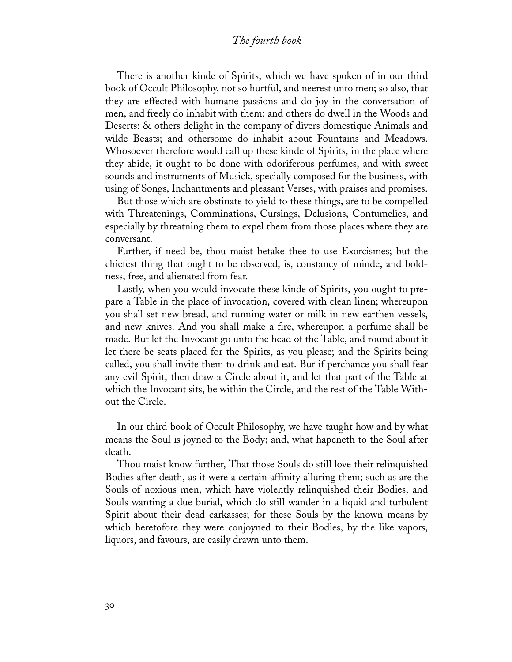There is another kinde of Spirits, which we have spoken of in our third book of Occult Philosophy, not so hurtful, and neerest unto men; so also, that they are effected with humane passions and do joy in the conversation of men, and freely do inhabit with them: and others do dwell in the Woods and Deserts: & others delight in the company of divers domestique Animals and wilde Beasts; and othersome do inhabit about Fountains and Meadows. Whosoever therefore would call up these kinde of Spirits, in the place where they abide, it ought to be done with odoriferous perfumes, and with sweet sounds and instruments of Musick, specially composed for the business, with using of Songs, Inchantments and pleasant Verses, with praises and promises.

But those which are obstinate to yield to these things, are to be compelled with Threatenings, Comminations, Cursings, Delusions, Contumelies, and especially by threatning them to expel them from those places where they are conversant.

Further, if need be, thou maist betake thee to use Exorcismes; but the chiefest thing that ought to be observed, is, constancy of minde, and boldness, free, and alienated from fear.

Lastly, when you would invocate these kinde of Spirits, you ought to prepare a Table in the place of invocation, covered with clean linen; whereupon you shall set new bread, and running water or milk in new earthen vessels, and new knives. And you shall make a fire, whereupon a perfume shall be made. But let the Invocant go unto the head of the Table, and round about it let there be seats placed for the Spirits, as you please; and the Spirits being called, you shall invite them to drink and eat. Bur if perchance you shall fear any evil Spirit, then draw a Circle about it, and let that part of the Table at which the Invocant sits, be within the Circle, and the rest of the Table Without the Circle.

In our third book of Occult Philosophy, we have taught how and by what means the Soul is joyned to the Body; and, what hapeneth to the Soul after death.

Thou maist know further, That those Souls do still love their relinquished Bodies after death, as it were a certain affinity alluring them; such as are the Souls of noxious men, which have violently relinquished their Bodies, and Souls wanting a due burial, which do still wander in a liquid and turbulent Spirit about their dead carkasses; for these Souls by the known means by which heretofore they were conjoyned to their Bodies, by the like vapors, liquors, and favours, are easily drawn unto them.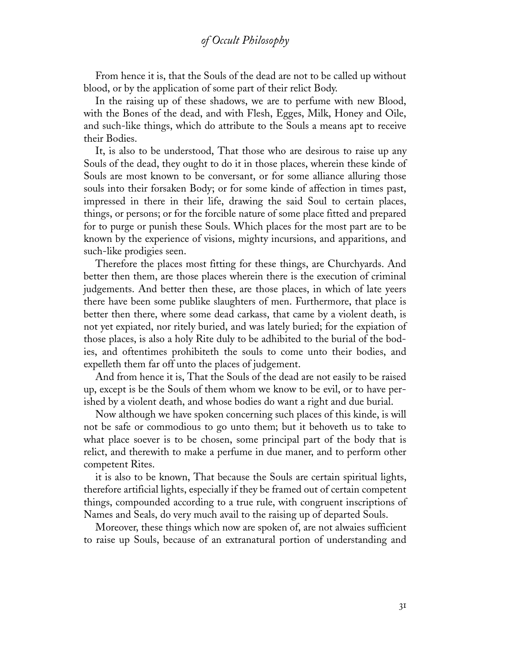From hence it is, that the Souls of the dead are not to be called up without blood, or by the application of some part of their relict Body.

In the raising up of these shadows, we are to perfume with new Blood, with the Bones of the dead, and with Flesh, Egges, Milk, Honey and Oile, and such-like things, which do attribute to the Souls a means apt to receive their Bodies.

It, is also to be understood, That those who are desirous to raise up any Souls of the dead, they ought to do it in those places, wherein these kinde of Souls are most known to be conversant, or for some alliance alluring those souls into their forsaken Body; or for some kinde of affection in times past, impressed in there in their life, drawing the said Soul to certain places, things, or persons; or for the forcible nature of some place fitted and prepared for to purge or punish these Souls. Which places for the most part are to be known by the experience of visions, mighty incursions, and apparitions, and such-like prodigies seen.

Therefore the places most fitting for these things, are Churchyards. And better then them, are those places wherein there is the execution of criminal judgements. And better then these, are those places, in which of late yeers there have been some publike slaughters of men. Furthermore, that place is better then there, where some dead carkass, that came by a violent death, is not yet expiated, nor ritely buried, and was lately buried; for the expiation of those places, is also a holy Rite duly to be adhibited to the burial of the bodies, and oftentimes prohibiteth the souls to come unto their bodies, and expelleth them far off unto the places of judgement.

And from hence it is, That the Souls of the dead are not easily to be raised up, except is be the Souls of them whom we know to be evil, or to have perished by a violent death, and whose bodies do want a right and due burial.

Now although we have spoken concerning such places of this kinde, is will not be safe or commodious to go unto them; but it behoveth us to take to what place soever is to be chosen, some principal part of the body that is relict, and therewith to make a perfume in due maner, and to perform other competent Rites.

it is also to be known, That because the Souls are certain spiritual lights, therefore artificial lights, especially if they be framed out of certain competent things, compounded according to a true rule, with congruent inscriptions of Names and Seals, do very much avail to the raising up of departed Souls.

Moreover, these things which now are spoken of, are not alwaies sufficient to raise up Souls, because of an extranatural portion of understanding and